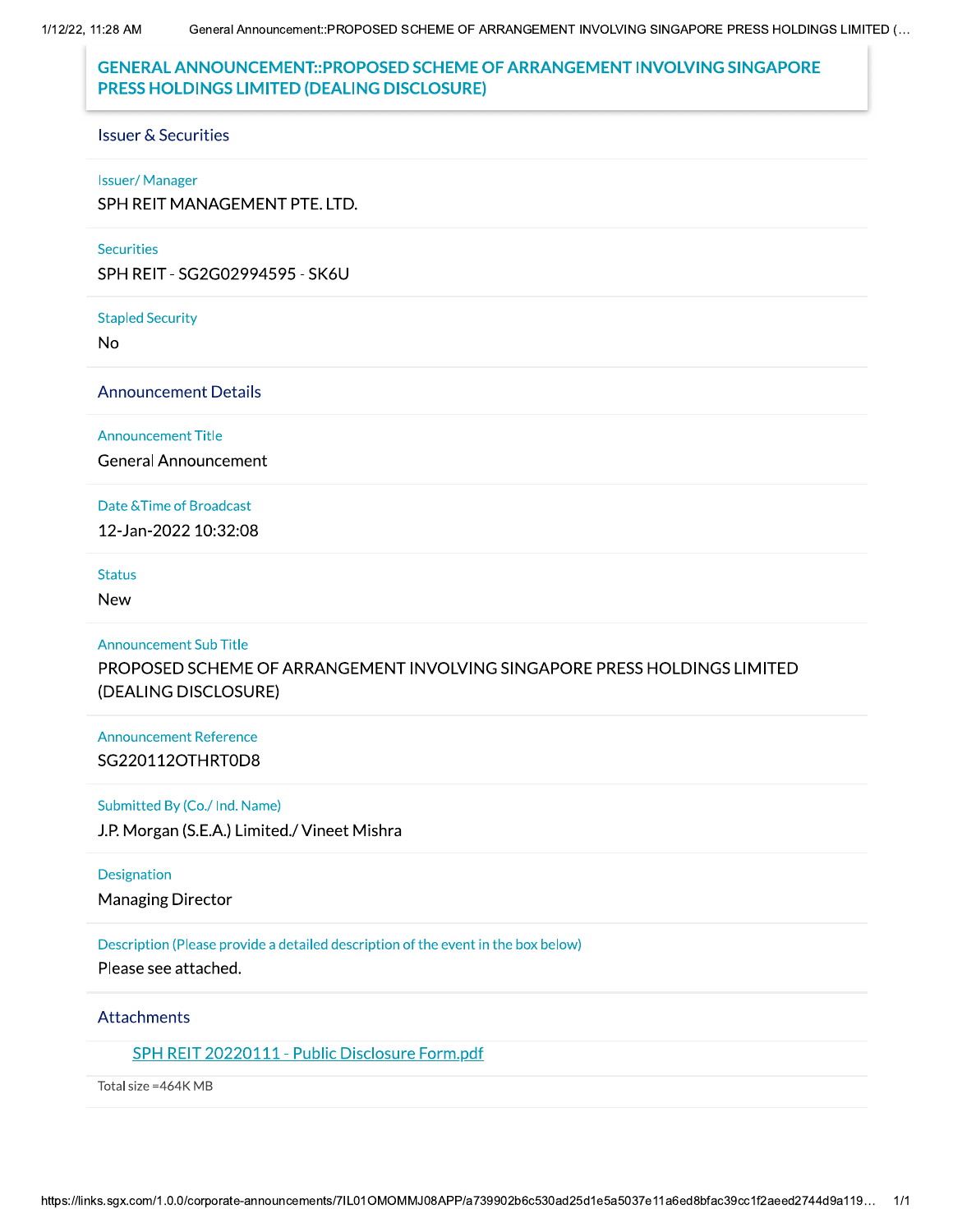1/12/22, 11:28 AM

# **GENERAL ANNOUNCEMENT::PROPOSED SCHEME OF ARRANGEMENT INVOLVING SINGAPORE** PRESS HOLDINGS LIMITED (DEALING DISCLOSURE)

### **Issuer & Securities**

#### **Issuer/Manager**

SPH REIT MANAGEMENT PTE. LTD.

#### **Securities**

SPH REIT - SG2G02994595 - SK6U

#### **Stapled Security**

No

### **Announcement Details**

**Announcement Title** 

**General Announcement** 

### Date & Time of Broadcast

12-Jan-2022 10:32:08

### **Status**

**New** 

#### **Announcement Sub Title**

PROPOSED SCHEME OF ARRANGEMENT INVOLVING SINGAPORE PRESS HOLDINGS LIMITED (DEALING DISCLOSURE)

# **Announcement Reference** SG220112OTHRT0D8

### Submitted By (Co./ Ind. Name)

J.P. Morgan (S.E.A.) Limited./ Vineet Mishra

## **Designation**

**Managing Director** 

# Description (Please provide a detailed description of the event in the box below)

Please see attached.

# Attachments

# SPH REIT 20220111 - Public Disclosure Form.pdf

Total size = 464K MB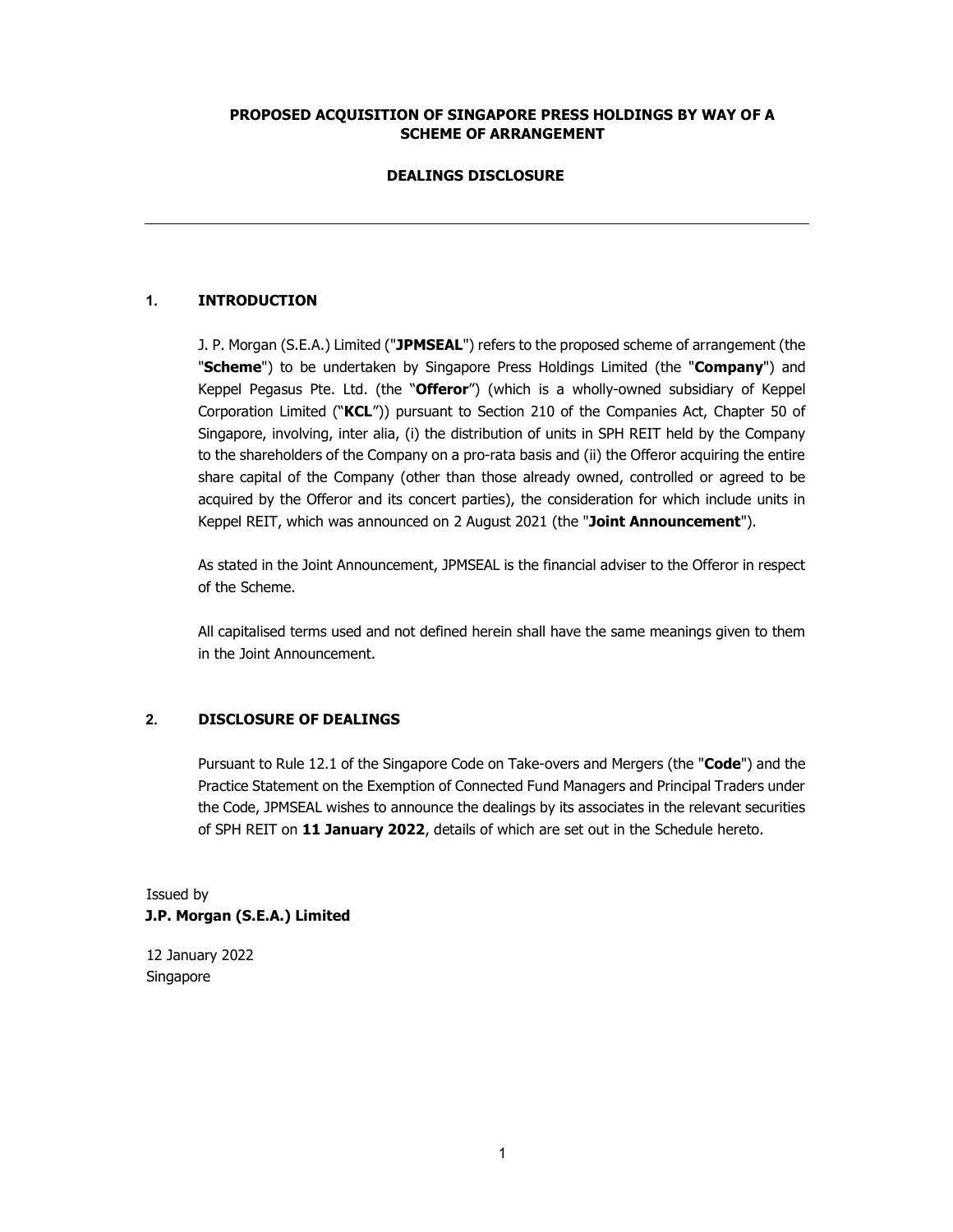## PROPOSED ACQUISITION OF SINGAPORE PRESS HOLDINGS BY WAY OF A SCHEME OF ARRANGEMENT

### DEALINGS DISCLOSURE

## 1. INTRODUCTION

J. P. Morgan (S.E.A.) Limited ("JPMSEAL") refers to the proposed scheme of arrangement (the "Scheme") to be undertaken by Singapore Press Holdings Limited (the "Company") and Keppel Pegasus Pte. Ltd. (the "Offeror") (which is a wholly-owned subsidiary of Keppel Corporation Limited ("KCL")) pursuant to Section 210 of the Companies Act, Chapter 50 of Singapore, involving, inter alia, (i) the distribution of units in SPH REIT held by the Company to the shareholders of the Company on a pro-rata basis and (ii) the Offeror acquiring the entire share capital of the Company (other than those already owned, controlled or agreed to be acquired by the Offeror and its concert parties), the consideration for which include units in Keppel REIT, which was announced on 2 August 2021 (the "Joint Announcement").

As stated in the Joint Announcement, JPMSEAL is the financial adviser to the Offeror in respect of the Scheme.

All capitalised terms used and not defined herein shall have the same meanings given to them in the Joint Announcement.

# 2. DISCLOSURE OF DEALINGS

Pursuant to Rule 12.1 of the Singapore Code on Take-overs and Mergers (the "Code") and the Practice Statement on the Exemption of Connected Fund Managers and Principal Traders under the Code, JPMSEAL wishes to announce the dealings by its associates in the relevant securities of SPH REIT on 11 January 2022, details of which are set out in the Schedule hereto.

# Issued by J.P. Morgan (S.E.A.) Limited

12 January 2022 Singapore